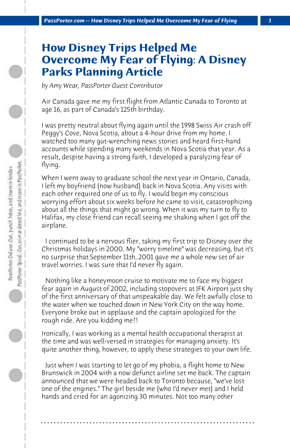## **How Disney Trips Helped Me Overcome My Fear of Flying: A Disney Parks Planning Article**

*by Amy Wear, PassPorter Guest Contributor*

Air Canada gave me my first flight from Atlantic Canada to Toronto at age 16, as part of Canada's 125th birthday.

I was pretty neutral about flying again until the 1998 Swiss Air crash off Peggy's Cove, Nova Scotia, about a 4-hour drive from my home. I watched too many gut-wrenching news stories and heard first-hand accounts while spending many weekends in Nova Scotia that year. As a result, despite having a strong faith, I developed a paralyzing fear of flying.

When I went away to graduate school the next year in Ontario, Canada, I left my boyfriend (now husband) back in Nova Scotia. Any visits with each other required one of us to fly. I would begin my conscious worrying effort about six weeks before he came to visit, catastrophizing about all the things that might go wrong. When it was my turn to fly to Halifax, my close friend can recall seeing me shaking when I got off the airplane.

 I continued to be a nervous flier, taking my first trip to Disney over the Christmas holidays in 2000. My "worry timeline" was decreasing, but it's no surprise that September 11th, 2001 gave me a whole new set of air travel worries. I was sure that I'd never fly again.

 Nothing like a honeymoon cruise to motivate me to face my biggest fear again in August of 2002, including stopovers at JFK Airport just shy of the first anniversary of that unspeakable day. We felt awfully close to the water when we touched down in New York City on the way home. Everyone broke out in applause and the captain apologized for the rough ride. Are you kidding me?!

Ironically, I was working as a mental health occupational therapist at the time and was well-versed in strategies for managing anxiety. It's quite another thing, however, to apply these strategies to your own life.

 Just when I was starting to let go of my phobia, a flight home to New Brunswick in 2004 with a now defunct airline set me back. The captain announced that we were headed back to Toronto because, "we've lost one of the engines." The girl beside me (who I'd never met) and I held hands and cried for an agonizing 30 minutes. Not too many other

**. . . . . . . . . . . . . . . . . . . . . . . . . . . . . . . . . . . . . . . . . . . . . . . . . . . . . . . . . . . . . . . . . .**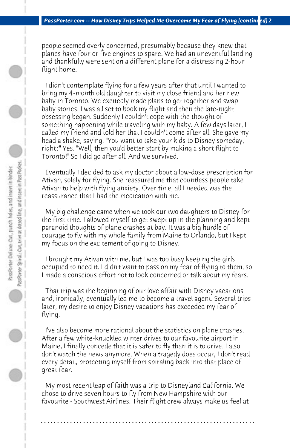people seemed overly concerned, presumably because they knew that planes have four or five engines to spare. We had an uneventful landing and thankfully were sent on a different plane for a distressing 2-hour flight home.

 I didn't contemplate flying for a few years after that until I wanted to bring my 4-month old daughter to visit my close friend and her new baby in Toronto. We excitedly made plans to get together and swap baby stories. I was all set to book my flight and then the late-night obsessing began. Suddenly I couldn't cope with the thought of something happening while traveling with my baby. A few days later, I called my friend and told her that I couldn't come after all. She gave my head a shake, saying, "You want to take your kids to Disney someday, right?" Yes. "Well, then you'd better start by making a short flight to Toronto!" So I did go after all. And we survived.

 Eventually I decided to ask my doctor about a low-dose prescription for Ativan, solely for flying. She reassured me that countless people take Ativan to help with flying anxiety. Over time, all I needed was the reassurance that I had the medication with me.

 My big challenge came when we took our two daughters to Disney for the first time. I allowed myself to get swept up in the planning and kept paranoid thoughts of plane crashes at bay. It was a big hurdle of courage to fly with my whole family from Maine to Orlando, but I kept my focus on the excitement of going to Disney.

 I brought my Ativan with me, but I was too busy keeping the girls occupied to need it. I didn't want to pass on my fear of flying to them, so I made a conscious effort not to look concerned or talk about my fears.

 That trip was the beginning of our love affair with Disney vacations and, ironically, eventually led me to become a travel agent. Several trips later, my desire to enjoy Disney vacations has exceeded my fear of flying.

 I've also become more rational about the statistics on plane crashes. After a few white-knuckled winter drives to our favourite airport in Maine, I finally concede that it is safer to fly than it is to drive. I also don't watch the news anymore. When a tragedy does occur, I don't read every detail, protecting myself from spiraling back into that place of great fear.

 My most recent leap of faith was a trip to Disneyland California. We chose to drive seven hours to fly from New Hampshire with our favourite - Southwest Airlines. Their flight crew always make us feel at

**. . . . . . . . . . . . . . . . . . . . . . . . . . . . . . . . . . . . . . . . . . . . . . . . . . . . . . . . . . . . . . . . . .**